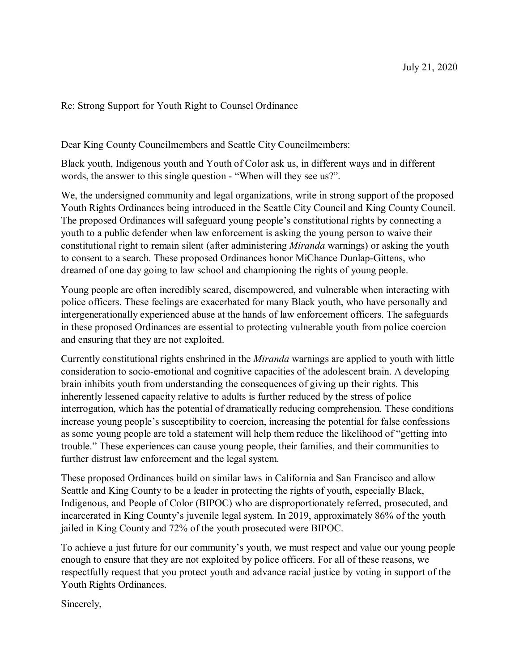Re: Strong Support for Youth Right to Counsel Ordinance

Dear King County Councilmembers and Seattle City Councilmembers:

Black youth, Indigenous youth and Youth of Color ask us, in different ways and in different words, the answer to this single question - "When will they see us?".

We, the undersigned community and legal organizations, write in strong support of the proposed Youth Rights Ordinances being introduced in the Seattle City Council and King County Council. The proposed Ordinances will safeguard young people's constitutional rights by connecting a youth to a public defender when law enforcement is asking the young person to waive their constitutional right to remain silent (after administering *Miranda* warnings) or asking the youth to consent to a search. These proposed Ordinances honor MiChance Dunlap-Gittens, who dreamed of one day going to law school and championing the rights of young people.

Young people are often incredibly scared, disempowered, and vulnerable when interacting with police officers. These feelings are exacerbated for many Black youth, who have personally and intergenerationally experienced abuse at the hands of law enforcement officers. The safeguards in these proposed Ordinances are essential to protecting vulnerable youth from police coercion and ensuring that they are not exploited.

Currently constitutional rights enshrined in the *Miranda* warnings are applied to youth with little consideration to socio-emotional and cognitive capacities of the adolescent brain. A developing brain inhibits youth from understanding the consequences of giving up their rights. This inherently lessened capacity relative to adults is further reduced by the stress of police interrogation, which has the potential of dramatically reducing comprehension. These conditions increase young people's susceptibility to coercion, increasing the potential for false confessions as some young people are told a statement will help them reduce the likelihood of "getting into trouble." These experiences can cause young people, their families, and their communities to further distrust law enforcement and the legal system.

These proposed Ordinances build on similar laws in California and San Francisco and allow Seattle and King County to be a leader in protecting the rights of youth, especially Black, Indigenous, and People of Color (BIPOC) who are disproportionately referred, prosecuted, and incarcerated in King County's juvenile legal system. In 2019, approximately 86% of the youth jailed in King County and 72% of the youth prosecuted were BIPOC.

To achieve a just future for our community's youth, we must respect and value our young people enough to ensure that they are not exploited by police officers. For all of these reasons, we respectfully request that you protect youth and advance racial justice by voting in support of the Youth Rights Ordinances.

Sincerely,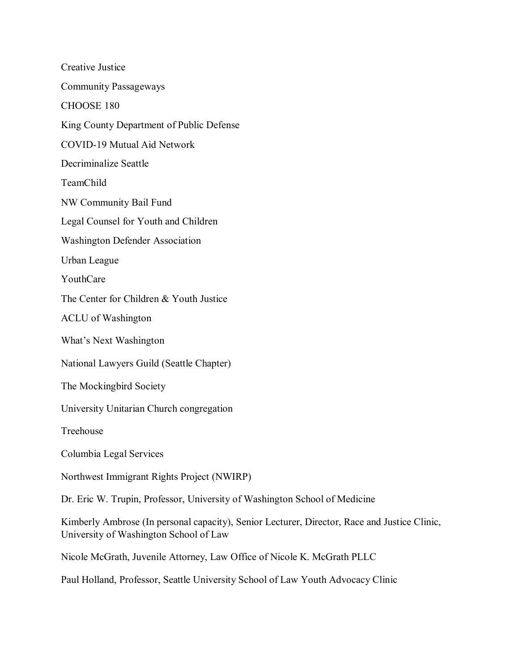Creative Justice Community Passageways CHOOSE 180 King County Department of Public Defense COVID-19 Mutual Aid Network Decriminalize Seattle TeamChild NW Community Bail Fund Legal Counsel for Youth and Children Washington Defender Association Urban League YouthCare The Center for Children & Youth Justice ACLU of Washington What's Next Washington National Lawyers Guild (Seattle Chapter) The Mockingbird Society University Unitarian Church congregation Treehouse Columbia Legal Services Northwest Immigrant Rights Project (NWIRP) Dr. Eric W. Trupin, Professor, University of Washington School of Medicine Kimberly Ambrose (In personal capacity), Senior Lecturer, Director, Race and Justice Clinic, University of Washington School of Law Nicole McGrath, Juvenile Attorney, Law Office of Nicole K. McGrath PLLC

Paul Holland, Professor, Seattle University School of Law Youth Advocacy Clinic